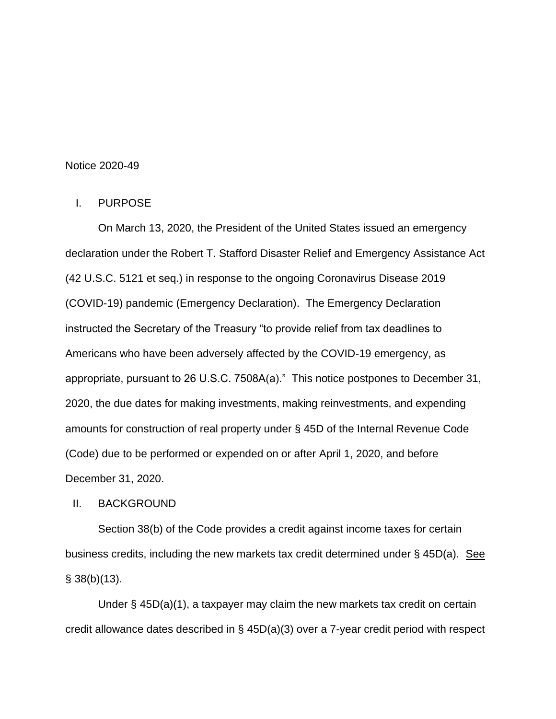#### Notice 2020-49

#### I. PURPOSE

On March 13, 2020, the President of the United States issued an emergency declaration under the Robert T. Stafford Disaster Relief and Emergency Assistance Act (42 U.S.C. 5121 et seq.) in response to the ongoing Coronavirus Disease 2019 (COVID-19) pandemic (Emergency Declaration). The Emergency Declaration instructed the Secretary of the Treasury "to provide relief from tax deadlines to Americans who have been adversely affected by the COVID-19 emergency, as appropriate, pursuant to 26 U.S.C. 7508A(a)." This notice postpones to December 31, 2020, the due dates for making investments, making reinvestments, and expending amounts for construction of real property under § 45D of the Internal Revenue Code (Code) due to be performed or expended on or after April 1, 2020, and before December 31, 2020.

II. BACKGROUND

Section 38(b) of the Code provides a credit against income taxes for certain business credits, including the new markets tax credit determined under  $\S$  45D(a). See  $§$  38(b)(13).

Under § 45D(a)(1), a taxpayer may claim the new markets tax credit on certain credit allowance dates described in § 45D(a)(3) over a 7-year credit period with respect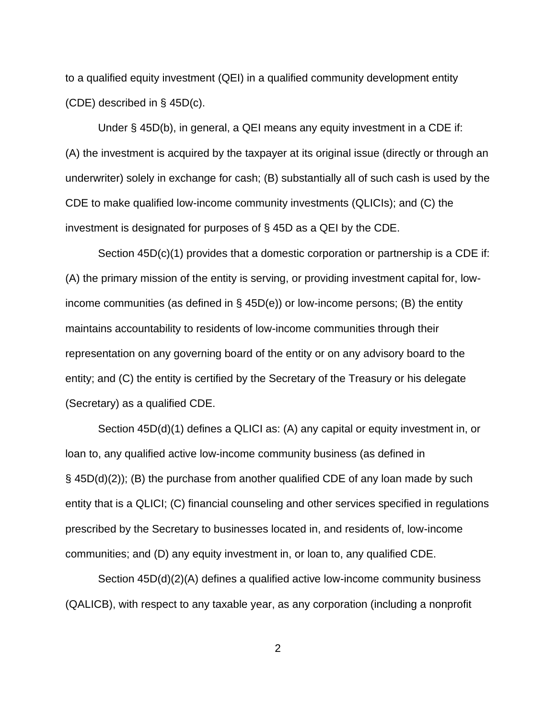to a qualified equity investment (QEI) in a qualified community development entity (CDE) described in § 45D(c).

Under § 45D(b), in general, a QEI means any equity investment in a CDE if: (A) the investment is acquired by the taxpayer at its original issue (directly or through an underwriter) solely in exchange for cash; (B) substantially all of such cash is used by the CDE to make qualified low-income community investments (QLICIs); and (C) the investment is designated for purposes of § 45D as a QEI by the CDE.

Section 45D(c)(1) provides that a domestic corporation or partnership is a CDE if: (A) the primary mission of the entity is serving, or providing investment capital for, lowincome communities (as defined in § 45D(e)) or low-income persons; (B) the entity maintains accountability to residents of low-income communities through their representation on any governing board of the entity or on any advisory board to the entity; and (C) the entity is certified by the Secretary of the Treasury or his delegate (Secretary) as a qualified CDE.

Section 45D(d)(1) defines a QLICI as: (A) any capital or equity investment in, or loan to, any qualified active low-income community business (as defined in  $\S$  45D(d)(2)); (B) the purchase from another qualified CDE of any loan made by such entity that is a QLICI; (C) financial counseling and other services specified in regulations prescribed by the Secretary to businesses located in, and residents of, low-income communities; and (D) any equity investment in, or loan to, any qualified CDE.

Section 45D(d)(2)(A) defines a qualified active low-income community business (QALICB), with respect to any taxable year, as any corporation (including a nonprofit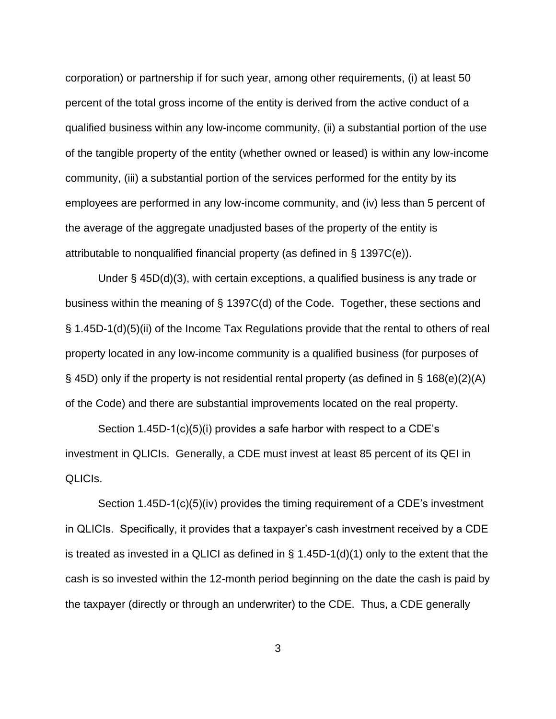corporation) or partnership if for such year, among other requirements, (i) at least 50 percent of the total gross income of the entity is derived from the active conduct of a qualified business within any low-income community, (ii) a substantial portion of the use of the tangible property of the entity (whether owned or leased) is within any low-income community, (iii) a substantial portion of the services performed for the entity by its employees are performed in any low-income community, and (iv) less than 5 percent of the average of the aggregate unadjusted bases of the property of the entity is attributable to nonqualified financial property (as defined in § 1397C(e)).

Under § 45D(d)(3), with certain exceptions, a qualified business is any trade or business within the meaning of § 1397C(d) of the Code. Together, these sections and § 1.45D-1(d)(5)(ii) of the Income Tax Regulations provide that the rental to others of real property located in any low-income community is a qualified business (for purposes of § 45D) only if the property is not residential rental property (as defined in § 168(e)(2)(A) of the Code) and there are substantial improvements located on the real property.

Section 1.45D-1(c)(5)(i) provides a safe harbor with respect to a CDE's investment in QLICIs. Generally, a CDE must invest at least 85 percent of its QEI in QLICIs.

Section 1.45D-1(c)(5)(iv) provides the timing requirement of a CDE's investment in QLICIs. Specifically, it provides that a taxpayer's cash investment received by a CDE is treated as invested in a QLICI as defined in  $\S$  1.45D-1(d)(1) only to the extent that the cash is so invested within the 12-month period beginning on the date the cash is paid by the taxpayer (directly or through an underwriter) to the CDE. Thus, a CDE generally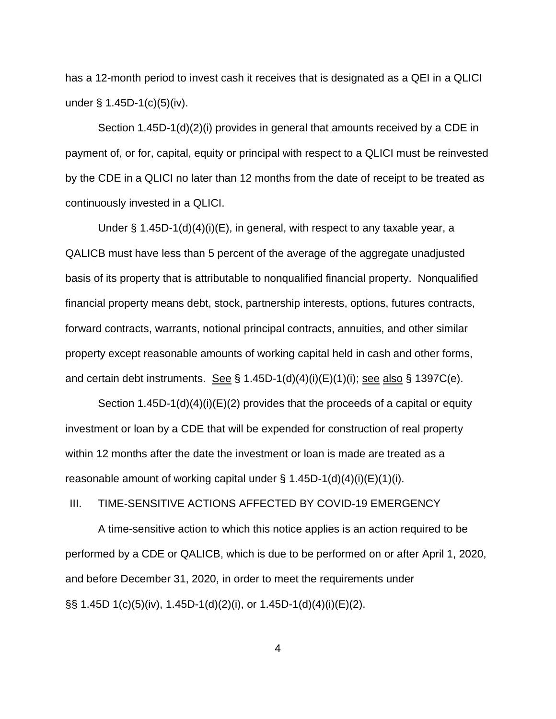has a 12-month period to invest cash it receives that is designated as a QEI in a QLICI under  $\S$  1.45D-1(c)(5)(iv).

Section 1.45D-1(d)(2)(i) provides in general that amounts received by a CDE in payment of, or for, capital, equity or principal with respect to a QLICI must be reinvested by the CDE in a QLICI no later than 12 months from the date of receipt to be treated as continuously invested in a QLICI.

Under § 1.45D-1(d)(4)(i)(E), in general, with respect to any taxable year, a QALICB must have less than 5 percent of the average of the aggregate unadjusted basis of its property that is attributable to nonqualified financial property. Nonqualified financial property means debt, stock, partnership interests, options, futures contracts, forward contracts, warrants, notional principal contracts, annuities, and other similar property except reasonable amounts of working capital held in cash and other forms, and certain debt instruments. See  $\S 1.45D-1(d)(4)(i)(E)(1)(i)$ ; see also  $\S 1397C(e)$ .

Section 1.45D-1(d)(4)(i)(E)(2) provides that the proceeds of a capital or equity investment or loan by a CDE that will be expended for construction of real property within 12 months after the date the investment or loan is made are treated as a reasonable amount of working capital under  $\S$  1.45D-1(d)(4)(i)(E)(1)(i).

### III. TIME-SENSITIVE ACTIONS AFFECTED BY COVID-19 EMERGENCY

A time-sensitive action to which this notice applies is an action required to be performed by a CDE or QALICB, which is due to be performed on or after April 1, 2020, and before December 31, 2020, in order to meet the requirements under §§ 1.45D 1(c)(5)(iv), 1.45D-1(d)(2)(i), or 1.45D-1(d)(4)(i)(E)(2).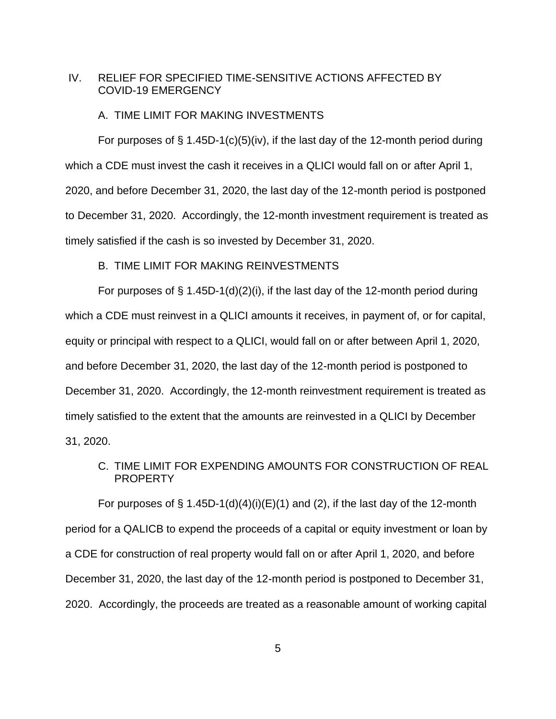## IV. RELIEF FOR SPECIFIED TIME-SENSITIVE ACTIONS AFFECTED BY COVID-19 EMERGENCY

#### A. TIME LIMIT FOR MAKING INVESTMENTS

For purposes of  $\S$  1.45D-1(c)(5)(iv), if the last day of the 12-month period during which a CDE must invest the cash it receives in a QLICI would fall on or after April 1, 2020, and before December 31, 2020, the last day of the 12-month period is postponed to December 31, 2020. Accordingly, the 12-month investment requirement is treated as timely satisfied if the cash is so invested by December 31, 2020.

### B. TIME LIMIT FOR MAKING REINVESTMENTS

For purposes of  $\S$  1.45D-1(d)(2)(i), if the last day of the 12-month period during which a CDE must reinvest in a QLICI amounts it receives, in payment of, or for capital, equity or principal with respect to a QLICI, would fall on or after between April 1, 2020, and before December 31, 2020, the last day of the 12-month period is postponed to December 31, 2020. Accordingly, the 12-month reinvestment requirement is treated as timely satisfied to the extent that the amounts are reinvested in a QLICI by December 31, 2020.

# C. TIME LIMIT FOR EXPENDING AMOUNTS FOR CONSTRUCTION OF REAL PROPERTY

For purposes of  $\S 1.45D-1(d)(4)(i)(E)(1)$  and (2), if the last day of the 12-month period for a QALICB to expend the proceeds of a capital or equity investment or loan by a CDE for construction of real property would fall on or after April 1, 2020, and before December 31, 2020, the last day of the 12-month period is postponed to December 31, 2020. Accordingly, the proceeds are treated as a reasonable amount of working capital